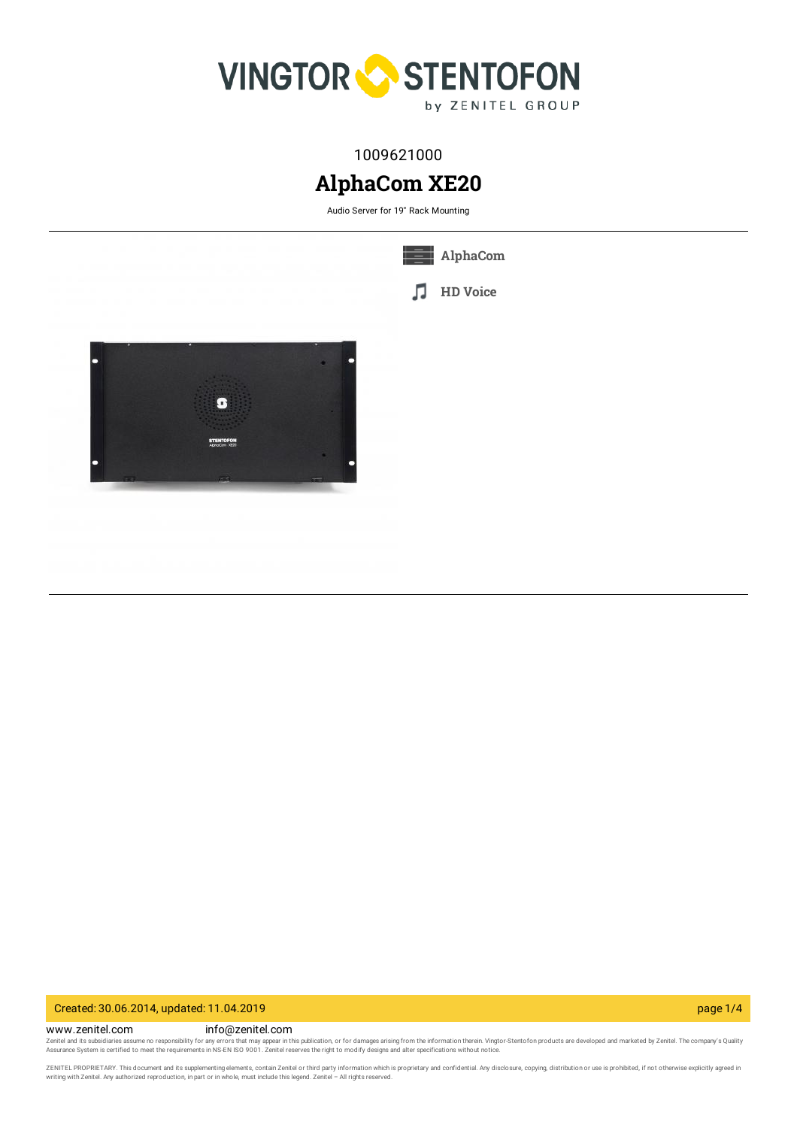

# 1009621000

# **AlphaCom XE20**

Audio Server for 19" Rack Mounting

л

**[AlphaCom](https://www.zenitel.com/technology/alphacom)**

**HD [Voice](https://www.zenitel.com/technology/audio/hd-voice)**



### Created: 30.06.2014, updated: 11.04.2019 page 1/4

www.zenitel.com info@zenitel.com Zenitel and its subsidiaries assume no responsibility for any errors that may appear in this publication, or for damages arising from the information therein. Vingtor-Stentofon products are developed and marketed by Zenite

ZENITEL PROPRIETARY. This document and its supplementing elements, contain Zenitel or third party information which is proprietary and confidential. Any disclosure, copying, distribution or use is prohibited, if not otherw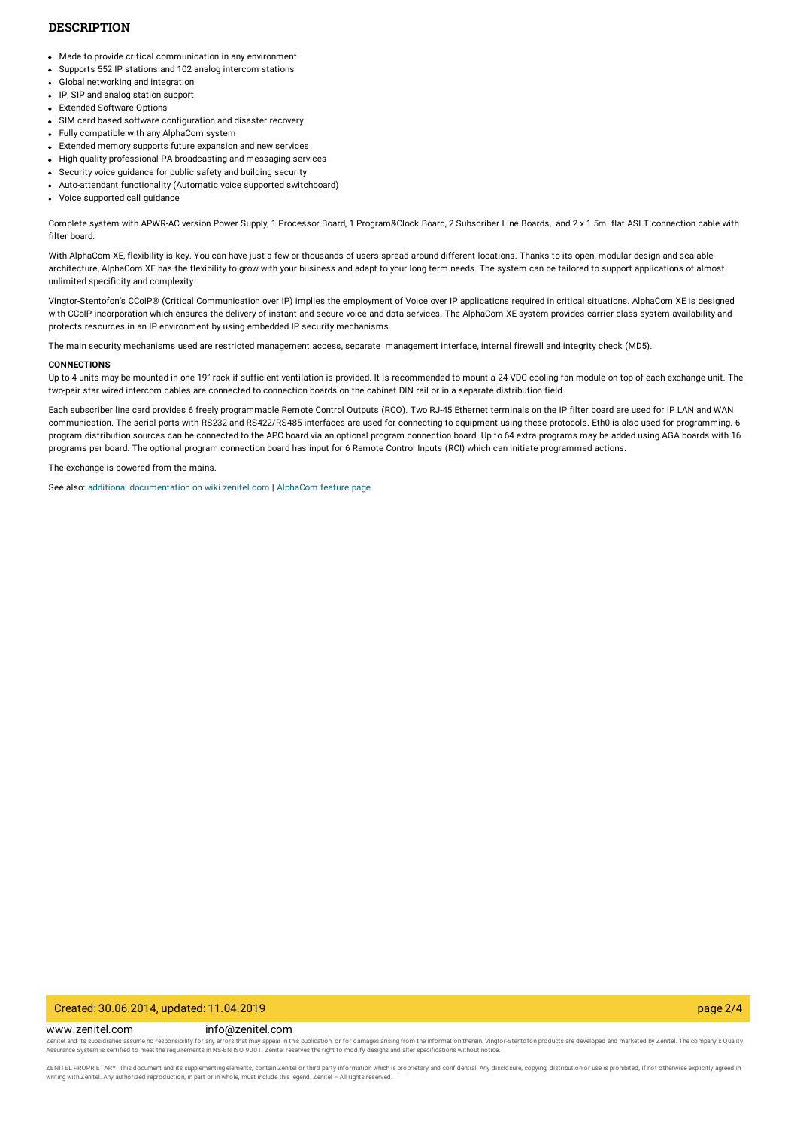#### **DESCRIPTION**

- Made to provide critical communication in any environment
- Supports 552 IP stations and 102 analog intercom stations
- Global networking and integration
- IP, SIP and analog station support
- Extended Software Options
- SIM card based software configuration and disaster recovery
- Fully compatible with any AlphaCom system
- Extended memory supports future expansion and new services
- High quality professional PA broadcasting and messaging services
- Security voice guidance for public safety and building security
- Auto-attendant functionality (Automatic voice supported switchboard)
- Voice supported call guidance

Complete system with APWR-AC version Power Supply, 1 Processor Board, 1 Program&Clock Board, 2 Subscriber Line Boards, and 2 x 1.5m. flat ASLT connection cable with filter board.

With AlphaCom XE, flexibility is key. You can have just a few or thousands of users spread around different locations. Thanks to its open, modular design and scalable architecture, AlphaCom XE has the flexibility to grow with your business and adapt to your long term needs. The system can be tailored to support applications of almost unlimited specificity and complexity.

Vingtor-Stentofon's CCoIP® (Critical Communication over IP) implies the employment of Voice over IP applications required in critical situations. AlphaCom XE is designed with CCoIP incorporation which ensures the delivery of instant and secure voice and data services. The AlphaCom XE system provides carrier class system availability and protects resources in an IP environment by using embedded IP security mechanisms.

The main security mechanisms used are restricted management access, separate management interface, internal firewall and integrity check (MD5).

#### **CONNECTIONS**

Up to 4 units may be mounted in one 19" rack if sufficient ventilation is provided. It is recommended to mount a 24 VDC cooling fan module on top of each exchange unit. The two-pair star wired intercom cables are connected to connection boards on the cabinet DIN rail or in a separate distribution field.

Each subscriber line card provides 6 freely programmable Remote Control Outputs (RCO). Two RJ-45 Ethernet terminals on the IP filter board are used for IP LAN and WAN communication. The serial ports with RS232 and RS422/RS485 interfaces are used for connecting to equipment using these protocols. Eth0 is also used for programming. 6 program distribution sources can be connected to the APC board via an optional program connection board. Up to 64 extra programs may be added using AGA boards with 16 programs per board. The optional program connection board has input for 6 Remote Control Inputs (RCI) which can initiate programmed actions.

The exchange is powered from the mains.

See also: additional documentation on [wiki.zenitel.com](https://wiki.zenitel.com/wiki/AlphaCom_XE20) | [AlphaCom](https://www.zenitel.com/vingtor-stentofon-alphacom-xe-server-system) feature page

#### Created: 30.06.2014, updated: 11.04.2019 page 2/4

www.zenitel.com info@zenitel.com

Zenitel and its subsidiaries assume no responsibility for any errors that may appear in this publication, or for damages arising from the information therein. Vingtor-Stentofon products are developed and marketed by Zenite

ZENITEL PROPRIETARY. This document and its supplementing elements, contain Zenitel or third party information which is proprietary and confidential. Any disclosure, copying, distribution or use is prohibited, if not otherw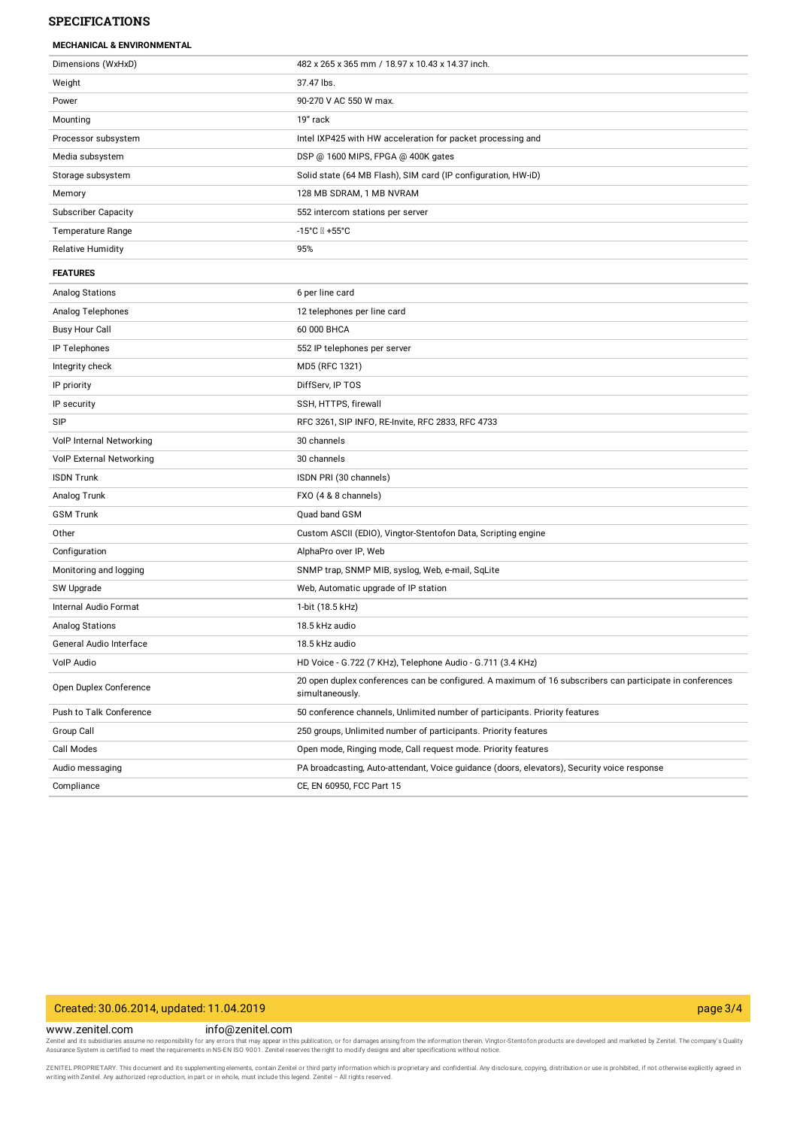### **SPECIFICATIONS**

| <b>MECHANICAL &amp; ENVIRONMENTAL</b> |
|---------------------------------------|
|                                       |

| Dimensions (WxHxD)         | 482 x 265 x 365 mm / 18.97 x 10.43 x 14.37 inch.                                                                            |
|----------------------------|-----------------------------------------------------------------------------------------------------------------------------|
| Weight                     | 37.47 lbs.                                                                                                                  |
| Power                      | 90-270 V AC 550 W max.                                                                                                      |
| Mounting                   | 19" rack                                                                                                                    |
| Processor subsystem        | Intel IXP425 with HW acceleration for packet processing and                                                                 |
| Media subsystem            | DSP @ 1600 MIPS, FPGA @ 400K gates                                                                                          |
| Storage subsystem          | Solid state (64 MB Flash), SIM card (IP configuration, HW-iD)                                                               |
| Memory                     | 128 MB SDRAM, 1 MB NVRAM                                                                                                    |
| <b>Subscriber Capacity</b> | 552 intercom stations per server                                                                                            |
| <b>Temperature Range</b>   |                                                                                                                             |
| <b>Relative Humidity</b>   | 95%                                                                                                                         |
| <b>FEATURES</b>            |                                                                                                                             |
| <b>Analog Stations</b>     | 6 per line card                                                                                                             |
| Analog Telephones          | 12 telephones per line card                                                                                                 |
| <b>Busy Hour Call</b>      | 60 000 BHCA                                                                                                                 |
| IP Telephones              | 552 IP telephones per server                                                                                                |
| Integrity check            | MD5 (RFC 1321)                                                                                                              |
| IP priority                | DiffServ, IP TOS                                                                                                            |
| IP security                | SSH, HTTPS, firewall                                                                                                        |
| SIP                        | RFC 3261, SIP INFO, RE-Invite, RFC 2833, RFC 4733                                                                           |
| VolP Internal Networking   | 30 channels                                                                                                                 |
| VolP External Networking   | 30 channels                                                                                                                 |
| <b>ISDN Trunk</b>          | ISDN PRI (30 channels)                                                                                                      |
| Analog Trunk               | FXO (4 & 8 channels)                                                                                                        |
| <b>GSM Trunk</b>           | Quad band GSM                                                                                                               |
| Other                      | Custom ASCII (EDIO), Vingtor-Stentofon Data, Scripting engine                                                               |
| Configuration              | AlphaPro over IP, Web                                                                                                       |
| Monitoring and logging     | SNMP trap, SNMP MIB, syslog, Web, e-mail, SqLite                                                                            |
| SW Upgrade                 | Web, Automatic upgrade of IP station                                                                                        |
| Internal Audio Format      | 1-bit (18.5 kHz)                                                                                                            |
| <b>Analog Stations</b>     | 18.5 kHz audio                                                                                                              |
| General Audio Interface    | 18.5 kHz audio                                                                                                              |
| VolP Audio                 | HD Voice - G.722 (7 KHz), Telephone Audio - G.711 (3.4 KHz)                                                                 |
| Open Duplex Conference     | 20 open duplex conferences can be configured. A maximum of 16 subscribers can participate in conferences<br>simultaneously. |
| Push to Talk Conference    | 50 conference channels, Unlimited number of participants. Priority features                                                 |
| Group Call                 | 250 groups, Unlimited number of participants. Priority features                                                             |
| Call Modes                 | Open mode, Ringing mode, Call request mode. Priority features                                                               |
| Audio messaging            | PA broadcasting, Auto-attendant, Voice guidance (doors, elevators), Security voice response                                 |
| Compliance                 | CE, EN 60950, FCC Part 15                                                                                                   |

## Created: 30.06.2014, updated: 11.04.2019 page 3/4

www.zenitel.com info@zenitel.com

Zenitel and its subsidiaries assume no responsibility for any errors that may appear in this publication, or for damages arising from the information therein. Vingtor-Stentofon products are developed and marketed by Zenite

ZENITEL PROPRIETARY. This document and its supplementing elements, contain Zenitel or third party information which is proprietary and confidential. Any disclosure, copying, distribution or use is prohibited, if not otherw